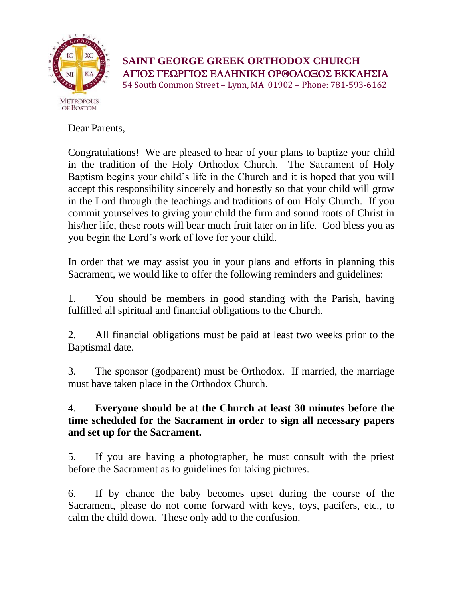

## **SAINT GEORGE GREEK ORTHODOX CHURCH** ΑΓΙΟΣ ΓΕΩΡΓΙΟΣ ΕΛΛΗΝΙΚΗ ΟΡΘΟΔΟΞΟΣ ΕΚΚΛΗΣΙΑ 54 South Common Street – Lynn, MA 01902 – Phone: 781-593-6162

Dear Parents,

Congratulations! We are pleased to hear of your plans to baptize your child in the tradition of the Holy Orthodox Church. The Sacrament of Holy Baptism begins your child's life in the Church and it is hoped that you will accept this responsibility sincerely and honestly so that your child will grow in the Lord through the teachings and traditions of our Holy Church. If you commit yourselves to giving your child the firm and sound roots of Christ in his/her life, these roots will bear much fruit later on in life. God bless you as you begin the Lord's work of love for your child.

In order that we may assist you in your plans and efforts in planning this Sacrament, we would like to offer the following reminders and guidelines:

1. You should be members in good standing with the Parish, having fulfilled all spiritual and financial obligations to the Church.

2. All financial obligations must be paid at least two weeks prior to the Baptismal date.

3. The sponsor (godparent) must be Orthodox. If married, the marriage must have taken place in the Orthodox Church.

## 4. **Everyone should be at the Church at least 30 minutes before the time scheduled for the Sacrament in order to sign all necessary papers and set up for the Sacrament.**

5. If you are having a photographer, he must consult with the priest before the Sacrament as to guidelines for taking pictures.

6. If by chance the baby becomes upset during the course of the Sacrament, please do not come forward with keys, toys, pacifers, etc., to calm the child down. These only add to the confusion.